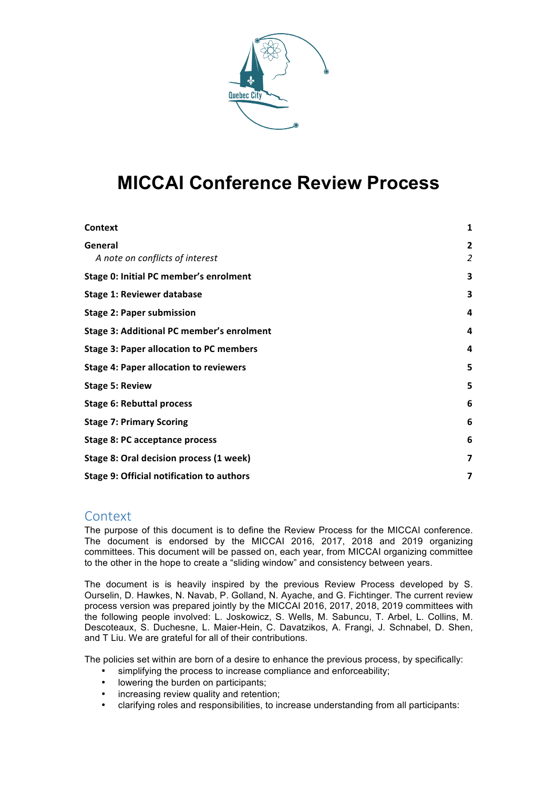

# **MICCAI Conference Review Process**

| <b>Context</b>                                   | 1                   |
|--------------------------------------------------|---------------------|
| General<br>A note on conflicts of interest       | $\overline{2}$<br>2 |
| Stage 0: Initial PC member's enrolment           | 3                   |
| <b>Stage 1: Reviewer database</b>                | 3                   |
| <b>Stage 2: Paper submission</b>                 | 4                   |
| <b>Stage 3: Additional PC member's enrolment</b> | 4                   |
| <b>Stage 3: Paper allocation to PC members</b>   | 4                   |
| <b>Stage 4: Paper allocation to reviewers</b>    | 5                   |
| <b>Stage 5: Review</b>                           | 5                   |
| <b>Stage 6: Rebuttal process</b>                 | 6                   |
| <b>Stage 7: Primary Scoring</b>                  | 6                   |
| <b>Stage 8: PC acceptance process</b>            | 6                   |
| Stage 8: Oral decision process (1 week)          | 7                   |
| <b>Stage 9: Official notification to authors</b> | 7                   |

#### **Context**

The purpose of this document is to define the Review Process for the MICCAI conference. The document is endorsed by the MICCAI 2016, 2017, 2018 and 2019 organizing committees. This document will be passed on, each year, from MICCAI organizing committee to the other in the hope to create a "sliding window" and consistency between years.

The document is is heavily inspired by the previous Review Process developed by S. Ourselin, D. Hawkes, N. Navab, P. Golland, N. Ayache, and G. Fichtinger. The current review process version was prepared jointly by the MICCAI 2016, 2017, 2018, 2019 committees with the following people involved: L. Joskowicz, S. Wells, M. Sabuncu, T. Arbel, L. Collins, M. Descoteaux, S. Duchesne, L. Maier-Hein, C. Davatzikos, A. Frangi, J. Schnabel, D. Shen, and T Liu. We are grateful for all of their contributions.

The policies set within are born of a desire to enhance the previous process, by specifically:

- simplifying the process to increase compliance and enforceability;<br>• lowering the burden on participants:
- lowering the burden on participants:
- increasing review quality and retention;
- clarifying roles and responsibilities, to increase understanding from all participants: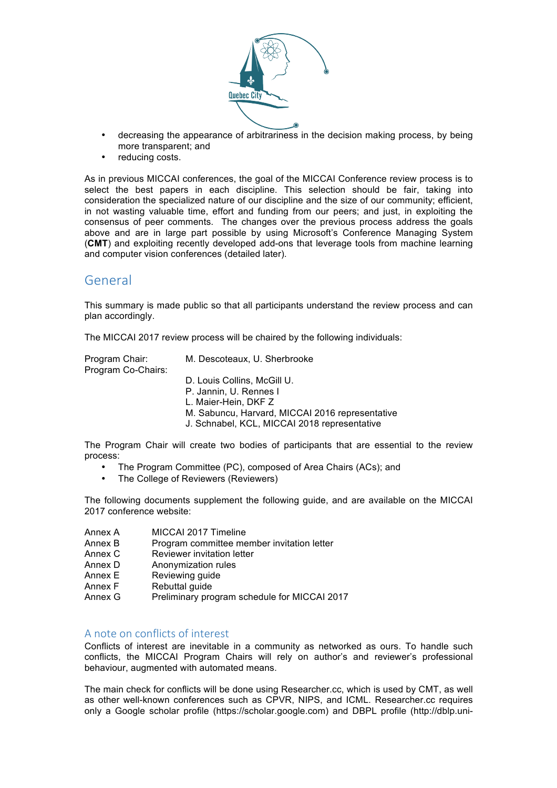

- decreasing the appearance of arbitrariness in the decision making process, by being more transparent; and
- reducing costs.

As in previous MICCAI conferences, the goal of the MICCAI Conference review process is to select the best papers in each discipline. This selection should be fair, taking into consideration the specialized nature of our discipline and the size of our community; efficient, in not wasting valuable time, effort and funding from our peers; and just, in exploiting the consensus of peer comments. The changes over the previous process address the goals above and are in large part possible by using Microsoft's Conference Managing System (**CMT**) and exploiting recently developed add-ons that leverage tools from machine learning and computer vision conferences (detailed later).

#### General

This summary is made public so that all participants understand the review process and can plan accordingly.

The MICCAI 2017 review process will be chaired by the following individuals:

Program Co-Chairs:

Program Chair: M. Descoteaux, U. Sherbrooke

D. Louis Collins, McGill U.

- P. Jannin, U. Rennes I
- L. Maier-Hein, DKF Z
- M. Sabuncu, Harvard, MICCAI 2016 representative
- J. Schnabel, KCL, MICCAI 2018 representative

The Program Chair will create two bodies of participants that are essential to the review process:

- The Program Committee (PC), composed of Area Chairs (ACs); and
- The College of Reviewers (Reviewers)

The following documents supplement the following guide, and are available on the MICCAI 2017 conference website:

- Annex A MICCAI 2017 Timeline
- Annex B Program committee member invitation letter
- Annex C Reviewer invitation letter
- Annex D Anonymization rules
- Annex E Reviewing guide
- Annex F Rebuttal quide
- Annex G Preliminary program schedule for MICCAI 2017

#### A note on conflicts of interest

Conflicts of interest are inevitable in a community as networked as ours. To handle such conflicts, the MICCAI Program Chairs will rely on author's and reviewer's professional behaviour, augmented with automated means.

The main check for conflicts will be done using Researcher.cc, which is used by CMT, as well as other well-known conferences such as CPVR, NIPS, and ICML. Researcher.cc requires only a Google scholar profile (https://scholar.google.com) and DBPL profile (http://dblp.uni-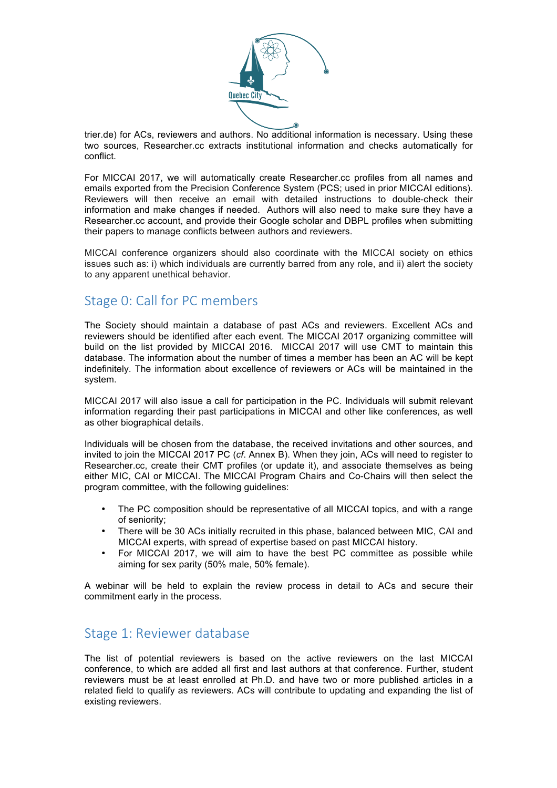

trier.de) for ACs, reviewers and authors. No additional information is necessary. Using these two sources, Researcher.cc extracts institutional information and checks automatically for conflict.

For MICCAI 2017, we will automatically create Researcher.cc profiles from all names and emails exported from the Precision Conference System (PCS; used in prior MICCAI editions). Reviewers will then receive an email with detailed instructions to double-check their information and make changes if needed. Authors will also need to make sure they have a Researcher.cc account, and provide their Google scholar and DBPL profiles when submitting their papers to manage conflicts between authors and reviewers.

MICCAI conference organizers should also coordinate with the MICCAI society on ethics issues such as: i) which individuals are currently barred from any role, and ii) alert the society to any apparent unethical behavior.

#### Stage 0: Call for PC members

The Society should maintain a database of past ACs and reviewers. Excellent ACs and reviewers should be identified after each event. The MICCAI 2017 organizing committee will build on the list provided by MICCAI 2016. MICCAI 2017 will use CMT to maintain this database. The information about the number of times a member has been an AC will be kept indefinitely. The information about excellence of reviewers or ACs will be maintained in the system.

MICCAI 2017 will also issue a call for participation in the PC. Individuals will submit relevant information regarding their past participations in MICCAI and other like conferences, as well as other biographical details.

Individuals will be chosen from the database, the received invitations and other sources, and invited to join the MICCAI 2017 PC (*cf*. Annex B). When they join, ACs will need to register to Researcher.cc, create their CMT profiles (or update it), and associate themselves as being either MIC, CAI or MICCAI. The MICCAI Program Chairs and Co-Chairs will then select the program committee, with the following guidelines:

- The PC composition should be representative of all MICCAI topics, and with a range of seniority;
- There will be 30 ACs initially recruited in this phase, balanced between MIC, CAI and MICCAI experts, with spread of expertise based on past MICCAI history.
- For MICCAI 2017, we will aim to have the best PC committee as possible while aiming for sex parity (50% male, 50% female).

A webinar will be held to explain the review process in detail to ACs and secure their commitment early in the process.

### Stage 1: Reviewer database

The list of potential reviewers is based on the active reviewers on the last MICCAI conference, to which are added all first and last authors at that conference. Further, student reviewers must be at least enrolled at Ph.D. and have two or more published articles in a related field to qualify as reviewers. ACs will contribute to updating and expanding the list of existing reviewers.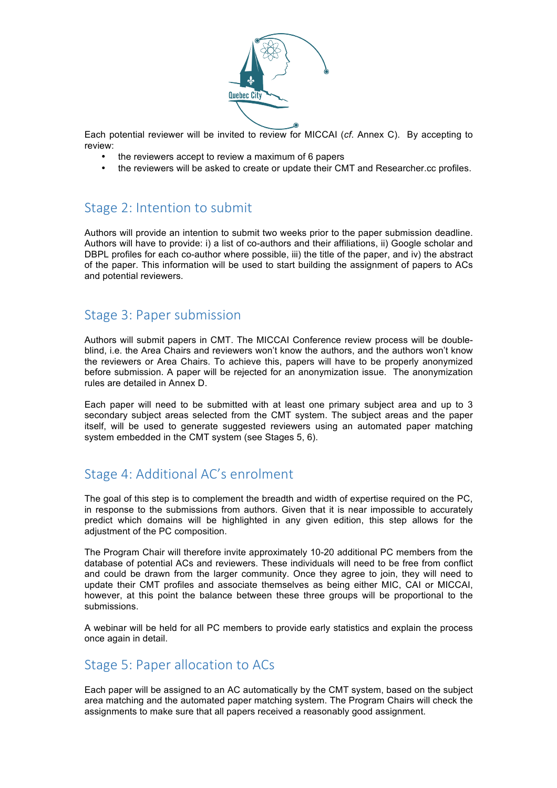

Each potential reviewer will be invited to review for MICCAI (*cf*. Annex C). By accepting to review:

- the reviewers accept to review a maximum of 6 papers
- the reviewers will be asked to create or update their CMT and Researcher.cc profiles.

## Stage 2: Intention to submit

Authors will provide an intention to submit two weeks prior to the paper submission deadline. Authors will have to provide: i) a list of co-authors and their affiliations, ii) Google scholar and DBPL profiles for each co-author where possible, iii) the title of the paper, and iv) the abstract of the paper. This information will be used to start building the assignment of papers to ACs and potential reviewers.

### Stage 3: Paper submission

Authors will submit papers in CMT. The MICCAI Conference review process will be doubleblind, i.e. the Area Chairs and reviewers won't know the authors, and the authors won't know the reviewers or Area Chairs. To achieve this, papers will have to be properly anonymized before submission. A paper will be rejected for an anonymization issue. The anonymization rules are detailed in Annex D.

Each paper will need to be submitted with at least one primary subject area and up to 3 secondary subject areas selected from the CMT system. The subject areas and the paper itself, will be used to generate suggested reviewers using an automated paper matching system embedded in the CMT system (see Stages 5, 6).

### Stage 4: Additional AC's enrolment

The goal of this step is to complement the breadth and width of expertise required on the PC, in response to the submissions from authors. Given that it is near impossible to accurately predict which domains will be highlighted in any given edition, this step allows for the adjustment of the PC composition.

The Program Chair will therefore invite approximately 10-20 additional PC members from the database of potential ACs and reviewers. These individuals will need to be free from conflict and could be drawn from the larger community. Once they agree to join, they will need to update their CMT profiles and associate themselves as being either MIC, CAI or MICCAI, however, at this point the balance between these three groups will be proportional to the submissions.

A webinar will be held for all PC members to provide early statistics and explain the process once again in detail.

### Stage 5: Paper allocation to ACs

Each paper will be assigned to an AC automatically by the CMT system, based on the subject area matching and the automated paper matching system. The Program Chairs will check the assignments to make sure that all papers received a reasonably good assignment.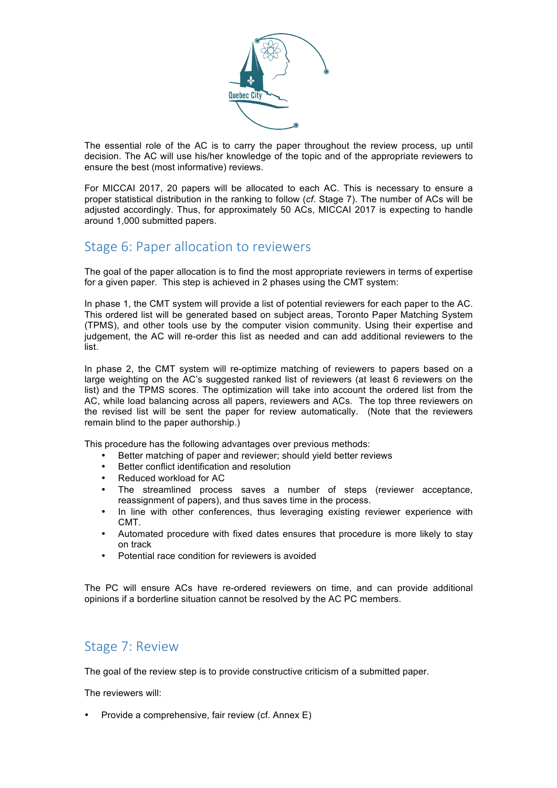

The essential role of the AC is to carry the paper throughout the review process, up until decision. The AC will use his/her knowledge of the topic and of the appropriate reviewers to ensure the best (most informative) reviews.

For MICCAI 2017, 20 papers will be allocated to each AC. This is necessary to ensure a proper statistical distribution in the ranking to follow (*cf*. Stage 7). The number of ACs will be adjusted accordingly. Thus, for approximately 50 ACs, MICCAI 2017 is expecting to handle around 1,000 submitted papers.

#### Stage 6: Paper allocation to reviewers

The goal of the paper allocation is to find the most appropriate reviewers in terms of expertise for a given paper. This step is achieved in 2 phases using the CMT system:

In phase 1, the CMT system will provide a list of potential reviewers for each paper to the AC. This ordered list will be generated based on subject areas, Toronto Paper Matching System (TPMS), and other tools use by the computer vision community. Using their expertise and judgement, the AC will re-order this list as needed and can add additional reviewers to the list.

In phase 2, the CMT system will re-optimize matching of reviewers to papers based on a large weighting on the AC's suggested ranked list of reviewers (at least 6 reviewers on the list) and the TPMS scores. The optimization will take into account the ordered list from the AC, while load balancing across all papers, reviewers and ACs. The top three reviewers on the revised list will be sent the paper for review automatically. (Note that the reviewers remain blind to the paper authorship.)

This procedure has the following advantages over previous methods:

- Better matching of paper and reviewer; should yield better reviews
- Better conflict identification and resolution
- Reduced workload for AC
- The streamlined process saves a number of steps (reviewer acceptance, reassignment of papers), and thus saves time in the process.
- In line with other conferences, thus leveraging existing reviewer experience with CMT.
- Automated procedure with fixed dates ensures that procedure is more likely to stay on track
- Potential race condition for reviewers is avoided

The PC will ensure ACs have re-ordered reviewers on time, and can provide additional opinions if a borderline situation cannot be resolved by the AC PC members.

#### Stage 7: Review

The goal of the review step is to provide constructive criticism of a submitted paper.

The reviewers will:

• Provide a comprehensive, fair review (cf. Annex E)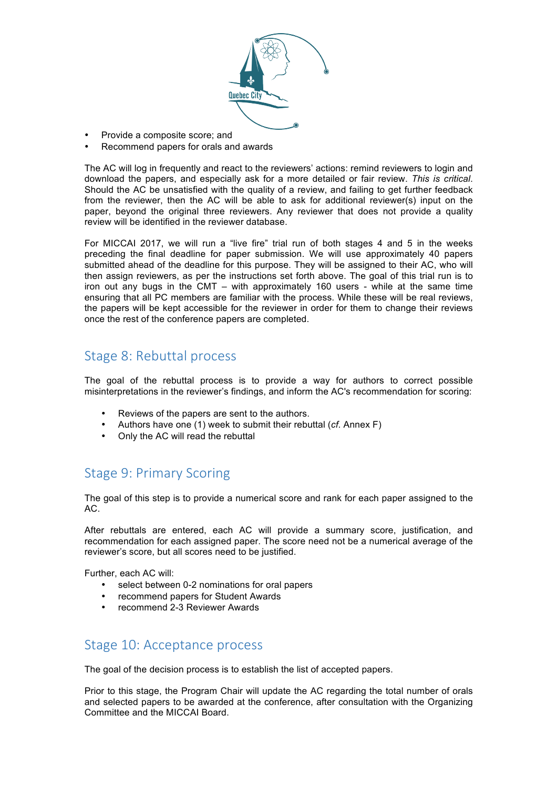

- Provide a composite score; and
- Recommend papers for orals and awards

The AC will log in frequently and react to the reviewers' actions: remind reviewers to login and download the papers, and especially ask for a more detailed or fair review. *This is critical*. Should the AC be unsatisfied with the quality of a review, and failing to get further feedback from the reviewer, then the AC will be able to ask for additional reviewer(s) input on the paper, beyond the original three reviewers. Any reviewer that does not provide a quality review will be identified in the reviewer database.

For MICCAI 2017, we will run a "live fire" trial run of both stages 4 and 5 in the weeks preceding the final deadline for paper submission. We will use approximately 40 papers submitted ahead of the deadline for this purpose. They will be assigned to their AC, who will then assign reviewers, as per the instructions set forth above. The goal of this trial run is to iron out any bugs in the CMT – with approximately 160 users - while at the same time ensuring that all PC members are familiar with the process. While these will be real reviews, the papers will be kept accessible for the reviewer in order for them to change their reviews once the rest of the conference papers are completed.

#### Stage 8: Rebuttal process

The goal of the rebuttal process is to provide a way for authors to correct possible misinterpretations in the reviewer's findings, and inform the AC's recommendation for scoring:

- Reviews of the papers are sent to the authors.
- Authors have one (1) week to submit their rebuttal (*cf*. Annex F)
- Only the AC will read the rebuttal

### Stage 9: Primary Scoring

The goal of this step is to provide a numerical score and rank for each paper assigned to the AC.

After rebuttals are entered, each AC will provide a summary score, justification, and recommendation for each assigned paper. The score need not be a numerical average of the reviewer's score, but all scores need to be justified.

Further, each AC will:

- select between 0-2 nominations for oral papers
- recommend papers for Student Awards
- recommend 2-3 Reviewer Awards

### Stage 10: Acceptance process

The goal of the decision process is to establish the list of accepted papers.

Prior to this stage, the Program Chair will update the AC regarding the total number of orals and selected papers to be awarded at the conference, after consultation with the Organizing Committee and the MICCAI Board.